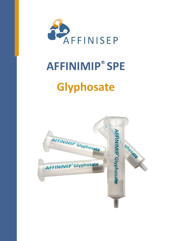

# **AFFINIMIP® SPE Glyphosate**

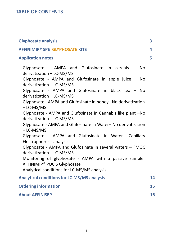## **TABLE OF CONTENTS**

| <b>Glyphosate analysis</b>                                                                                                                                                                                                                                                                                                                                                                                                                                                                                                                                                                                                                                                                                                                                                                                                                                  | 3  |
|-------------------------------------------------------------------------------------------------------------------------------------------------------------------------------------------------------------------------------------------------------------------------------------------------------------------------------------------------------------------------------------------------------------------------------------------------------------------------------------------------------------------------------------------------------------------------------------------------------------------------------------------------------------------------------------------------------------------------------------------------------------------------------------------------------------------------------------------------------------|----|
| <b>AFFINIMIP<sup>®</sup> SPE GLYPHOSATE KITS</b>                                                                                                                                                                                                                                                                                                                                                                                                                                                                                                                                                                                                                                                                                                                                                                                                            | 4  |
| <b>Application notes</b>                                                                                                                                                                                                                                                                                                                                                                                                                                                                                                                                                                                                                                                                                                                                                                                                                                    | 5  |
| Glyphosate - AMPA and Glufosinate in cereals - No<br>derivatization - LC-MS/MS<br>Glyphosate - AMPA and Glufosinate in apple juice $-$ No<br>derivatization - LC-MS/MS<br>Glyphosate - AMPA and Glufosinate in black tea - No<br>derivatization - LC-MS/MS<br>Glyphosate - AMPA and Glufosinate in honey- No derivatization<br>- LC-MS/MS<br>Glyphosate - AMPA and Glufosinate in Cannabis like plant -No<br>derivatization - LC-MS/MS<br>Glyphosate - AMPA and Glufosinate in Water- No derivatization<br>$-LC$ -MS/MS<br>Glyphosate - AMPA and Glufosinate in Water- Capillary<br>Electrophoresis analysis<br>Glyphosate - AMPA and Glufosinate in several waters - FMOC<br>derivatization - LC-MS/MS<br>Monitoring of glyphosate - AMPA with a passive sampler<br>AFFINIMIP <sup>®</sup> POCIS Glyphosate<br>Analytical conditions for LC-MS/MS analysis |    |
| <b>Analytical conditions for LC-MS/MS analysis</b>                                                                                                                                                                                                                                                                                                                                                                                                                                                                                                                                                                                                                                                                                                                                                                                                          | 14 |
| <b>Ordering information</b>                                                                                                                                                                                                                                                                                                                                                                                                                                                                                                                                                                                                                                                                                                                                                                                                                                 | 15 |
| <b>About AFFINISEP</b>                                                                                                                                                                                                                                                                                                                                                                                                                                                                                                                                                                                                                                                                                                                                                                                                                                      | 16 |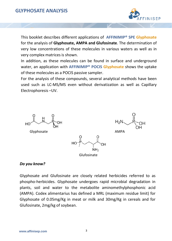## **GLYPHOSATE ANALYSIS**



This booklet describes different applications of **AFFINIMIP® SPE Glyphosate** for the analysis of **Glyphosate, AMPA and Glufosinate**. The determination of very low concentrations of these molecules in various waters as well as in very complex matrices is shown.

In addition, as these molecules can be found in surface and underground water, an application with **AFFINIMIP® POCIS Glyphosate** shows the uptake of these molecules as a POCIS passive sampler.

For the analysis of these compounds, several analytical methods have been used such as LC-MS/MS even without derivatization as well as Capillary Electrophoresis –UV.



#### *Do you know?*

Glyphosate and Glufosinate are closely related herbicides referred to as phospho-herbicides. Glyphosate undergoes rapid microbial degradation in plants, soil and water to the metabolite aminomethylphosphonic acid (AMPA). Codex alimentarius has defined a MRL (maximum residue limit) for Glyphosate of 0.05mg/Kg in meat or milk and 30mg/Kg in cereals and for Glufosinate, 2mg/kg of soybean.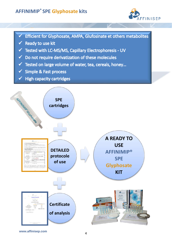## **AFFINIMIP® SPE Glyphosate kits**



- Efficient for Glyphosate, AMPA, Glufosinate et others metabolites
- Ready to use kit
- √ Tested with LC-MS/MS, Capillary Electrophoresis UV
- $\checkmark$  Do not require derivatization of these molecules
- √ Tested on large volume of water, tea, cereals, honey...
- ✔ Simple & Fast process
- **High capacity cartridges**  $\checkmark$

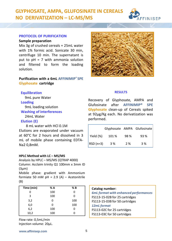## **GLYPHOSATE, AMPA, GLUFOSINATE IN CEREALS NO DERIVATIZATION – LC-MS/MS**



#### **PROTOCOL OF PURIFICATION**

**Sample preparation**

Mix 3g of crushed cereals + 25mL water with 1% formic acid. Sonicate 30 min, centrifuge 10 min. The supernatant is put to pH = 7 with ammonia solution and filtered to form the loading solution.

#### **Purification with a 6mL AFFINIMIP® SPE Glyphosate cartridge**

#### **Equilibration**

9mL pure Water **Loading**

9mL loading solution

**Washing of interferences**

24mL Water

#### **Elution (E)**

8 mL water with HCl 0.1M Elutions are evaporated under vacuum at 60°C for 2 hours and dissolved in 3 mL of mobile phase containing EDTA-Na2 0,8mM.

#### **HPLC Method with LC – MS/MS**

Analysis by HPLC – MS/MS (QTRAP 4000) Column: Acclaim trinity Q1 100mm x 3mm ID  $(3µm)$ Mobile phase: gradient with Ammonium

formiate 50 mM  $pH = 2.9$  (A) – Acetonitrile (B)

| Time (min) | % A | % B |
|------------|-----|-----|
| 0          | 100 | O   |
| 3          | 100 | O   |
| 3,2        | 0   | 100 |
| 6,0        | 0   | 100 |
| 6,2        | 100 | ი   |
| 10,2       | 100 |     |

Flow rate: 0,5mL/min Injection volume: 20µL.



#### **RESULTS**

Recovery of Glyphosate, AMPA and Glufosinate after **AFFINIMIP® SPE Glyphosate** clean-up of Cereals spiked at 92µg/Kg each. No derivatization was performed.

|            |      |     | Glyphosate AMPA Glufosinate |
|------------|------|-----|-----------------------------|
| Yield (%)  | 101% | 98% | 93 %                        |
| $RSD(n=3)$ | 3 %  | 2%  | <b>3</b> %                  |

| <b>6mL</b> format with enhanced performances |
|----------------------------------------------|
|                                              |
|                                              |
|                                              |
|                                              |
|                                              |
|                                              |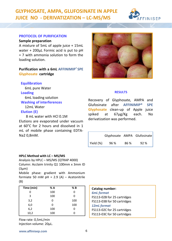## **GLYPHOSATE, AMPA, GLUFOSINATE IN APPLE JUICE NO - DERIVATIZATION – LC-MS/MS**



#### **PROTOCOL OF PURIFICATION**

**Sample preparation**

A mixture of 5mL of apple juice + 15mL water + 200µL Formic acid is put to pH = 7 with ammonia solution to form the loading solution.

#### **Purification with a 6mL AFFINIMIP® SPE Glyphosate cartridge**

#### **Equilibration**

6mL pure Water **Loading** 6mL loading solution **Washing of interferences**

12mL Water **Elution (E)**

8 mL water with HCl 0.1M Elutions are evaporated under vacuum at 60°C for 2 hours and dissolved in 1 mL of mobile phase containing EDTA-Na2 0,8mM.

#### **HPLC Method with LC – MS/MS**

Analysis by HPLC – MS/MS (QTRAP 4000) Column: Acclaim trinity Q1 100mm x 3mm ID (3µm)

Mobile phase: gradient with Ammonium formiate 50 mM  $pH = 2.9$  (A) – Acetonitrile (B)

| Time (min) | % A | % B |
|------------|-----|-----|
| 0          | 100 | 0   |
| 3          | 100 | O   |
| 3,2        | 0   | 100 |
| 6,0        | 0   | 100 |
| 6,2        | 100 | ი   |
| 10,2       | 100 | n   |

Flow rate: 0,5mL/min Injection volume: 20µL.



#### **RESULTS**

Recovery of Glyphosate, AMPA and Glufosinate after **AFFINIMIP® SPE Glyphosate** clean-up of Apple juice spiked at 67µg/Kg each. No derivatization was performed.

|              |      |     | Glyphosate AMPA Glufosinate |
|--------------|------|-----|-----------------------------|
| Yield $(\%)$ | 96 % | 86% | 92 %                        |

| Catalog number:             |
|-----------------------------|
| <b>6mL</b> format           |
| FS113-02B for 25 cartridges |
| FS113-03B for 50 cartridges |
| 12mL format                 |
| FS113-02C for 25 cartridges |
| FS113-03C for 50 cartridges |
|                             |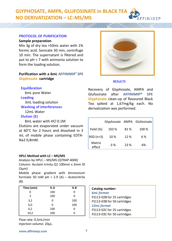#### **GLYPHOSATE, AMPA, GLUFOSINATE in BLACK TEA NO DERIVATIZATION – LC-MS/MS** FEINISEP

#### **PROTOCOL OF PURIFICATION**

**Sample preparation**

Mix 3g of dry tea +50mL water with 1% formic acid. Sonicate 30 min, centrifuge 10 min. The supernatant is filtered and put to pH = 7 with ammonia solution to form the loading solution.

#### **Purification with a 6mL AFFINIMIP® SPE Glyphosate cartridge**

#### **Equilibration**

6mL pure Water **Loading** 3mL loading solution **Washing of interferences**

## 12mL Water

**Elution (E)**

8mL water with HCl 0.1M Elutions are evaporated under vacuum at 60°C for 2 hours and dissolved in 3 mL of mobile phase containing EDTA-Na2 0,8mM.

#### **HPLC Method with LC – MS/MS**

Analysis by HPLC – MS/MS (QTRAP 4000) Column: Acclaim trinity Q1 100mm x 3mm ID  $(3µm)$ Mobile phase: gradient with Ammonium

formiate 50 mM  $pH = 2.9$  (A) – Acetonitrile (B)

| Time (min) | % A | % B |
|------------|-----|-----|
| 0          | 100 | 0   |
| 3          | 100 | O   |
| 3,2        | 0   | 100 |
| 6,0        | 0   | 100 |
| 6,2        | 100 | ი   |
| 10,2       | 100 | n   |

Flow rate: 0,5mL/min Injection volume: 20µL.



#### **RESULTS**

Recovery of Glyphosate, AMPA and Glufosinate after **AFFINIMIP® SPE Glyphosate** clean-up of flavoured Black Tea spiked at 1,67mg/kg each. No derivatization was performed.

|                  |       |      | Glyphosate AMPA Glufosinate |
|------------------|-------|------|-----------------------------|
| Yield (%)        | 103%  | 81%  | 100%                        |
| $RSD(n=3)$       | 10%   | 12%  | 6 %                         |
| Matrix<br>effect | $-3%$ | 23 % | 6%                          |

| Catalog number:             |
|-----------------------------|
| <b>6mL</b> format           |
| FS113-02B for 25 cartridges |
| FS113-03B for 50 cartridges |
| 12mL format                 |
| FS113-02C for 25 cartridges |
| FS113-03C for 50 cartridges |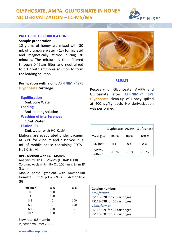**GLYPHOSATE, AMPA, GLUFOSINATE IN HONEY NO DERIVATIZATION – LC-MS/MS**



#### **PROTOCOL OF PURIFICATION**

**Sample preparation**

10 grams of honey are mixed with 30 mL of ultrapure water - 1% formic acid and magnetically stirred during 30 minutes. The mixture is then filtered through 0.45µm filter and neutralized to pH 7 with ammonia solution to form the loading solution.

#### **Purification with a 6mL AFFINIMIP® SPE Glyphosate cartridge**

**Equilibration**

6mL pure Water

#### **Loading**

3mL loading solution

**Washing of interferences**

12mL Water

#### **Elution (E)**

8mL water with HCl 0.1M Elutions are evaporated under vacuum at 60°C for 2 hours and dissolved in 3 mL of mobile phase containing EDTA-Na2 0,8mM.

#### **HPLC Method with LC – MS/MS**

Analysis by HPLC – MS/MS (QTRAP 4000) Column: Acclaim trinity Q1 100mm x 3mm ID  $(3µm)$ 

Mobile phase: gradient with Ammonium formiate 50 mM  $pH = 2.9$  (A) – Acetonitrile (B)

| Time (min) | % A | % B |
|------------|-----|-----|
| 0          | 100 | 0   |
| 3          | 100 | O   |
| 3,2        | 0   | 100 |
| 6,0        | 0   | 100 |
| 6,2        | 100 | ი   |
| 10,2       | 100 | n   |

Flow rate: 0,5mL/min Injection volume: 20µL.



#### **RESULTS**

Recovery of Glyphosate, AMPA and Glufosinate after **AFFINIMIP® SPE Glyphosate** clean-up of Honey spiked at 400 µg/kg each. No derivatization was performed.

|                  |        |        | Glyphosate AMPA Glufosinate |
|------------------|--------|--------|-----------------------------|
| Yield (%)        | 104 %  | 89%    | 100%                        |
| $RSD(n=3)$       | 4 %    | 8%     | 8%                          |
| Matrix<br>effect | $-16%$ | $-36%$ | $-19%$                      |

| Catalog number:             |
|-----------------------------|
| <b>6mL</b> format           |
| FS113-02B for 25 cartridges |
| FS113-03B for 50 cartridges |
| <b>12mL</b> format          |
| FS113-02C for 25 cartridges |
| FS113-03C for 50 cartridges |
|                             |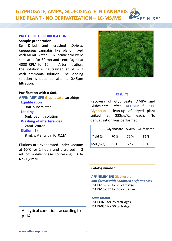**www.affinisep.com**

#### **GLYPHOSATE, AMPA, GLUFOSINATE IN CANNABIS LIKE PLANT - NO DERIVATIZATION – LC-MS/MS FFINISEP**

## **PROTOCOL OF PURIFICATION**

**Sample preparation**

3g Dried and crushed *Datisca Cannabina* cannabis like plant mixed with 60 mL water - 1% Formic acid were sonicated for 30 mn and centrifuged at 4000 RPM for 10 mn. After filtration, the solution is neutralized at  $pH = 7$ with ammonia solution. The loading solution is obtained after a 0.45µm filtration.

#### **Purification with a 6mL**

**AFFINIMIP® SPE Glyphosate cartridge Equilibration**

9mL pure Water

#### **Loading**

6mL loading solution **Washing of interferences** 24mL Water **Elution (E)**

8 mL water with HCl 0.1M

Elutions are evaporated under vacuum at 60°C for 2 hours and dissolved in 3 mL of mobile phase containing EDTA-Na2 0,8mM.

Analytical conditions according to p 14



Recovery of Glyphosate, AMPA and Glufosinate after AFFINIMIP® SPE Glyphosate clean-up of dryed plant spiked at 333µg/Kg each. No derivatization was performed.

|            |      |      | Glyphosate AMPA Glufosinate |
|------------|------|------|-----------------------------|
| Yield (%)  | 70 % | 72 % | 81%                         |
| $RSD(n=3)$ | 5 %  | 7 %  | 6%                          |

#### **Catalog number:**

**AFFINIMIP® SPE Glyphosate** *6mL format with enhanced performances* FS113-15-02B for 25 cartridges FS113-15-03B for 50 cartridges

*12mL format* FS113-02C for 25 cartridges FS113-03C for 50 cartridges

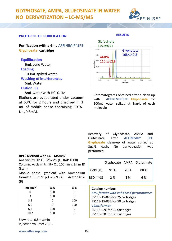

#### **PROTOCOL OF PURIFICATION**

#### **RESULTS**

**Purification with a 6mL AFFINIMIP® SPE Glyphosate cartridge**

#### **Equilibration**

6mL pure Water **Loading** 100mL spiked water **Washing of interferences** 6mL Water

#### **Elution (E)**

8mL water with HCl 0.1M Elutions are evaporated under vacuum at 60°C for 2 hours and dissolved in 3 mL of mobile phase containing EDTA- $Na<sub>2</sub> 0,8mM.$ 



Chromatograms obtained after a clean-up with **AFFINIMIP®SPE Glyphosate** for 100mL water spiked at 3µg/L of each molecule

Recovery of Glyphosate, AMPA and<br>Glufosinate after AFFINIMIP<sup>®</sup> SPE Glufosinate after **AFFINIMIP® Glyphosate** clean-up of water spiked at 3µg/L each. No derivatization was performed.

#### **HPLC Method with LC – MS/MS**

Analysis by HPLC – MS/MS (QTRAP 4000) Column: Acclaim trinity Q1 100mm x 3mm ID (3µm)

Mobile phase: gradient with Ammonium formiate 50 mM  $pH = 2.9$  (A) – Acetonitrile (B)

| Time (min) | % A | % B |
|------------|-----|-----|
| 0          | 100 | 0   |
| 3          | 100 | 0   |
| 3,2        | 0   | 100 |
| 6,0        | 0   | 100 |
| 6,2        | 100 | O   |
| 10,2       | 100 | o   |

Flow rate: 0,5mL/min Injection volume: 20µL.

|           |      |      | Glyphosate AMPA Glufosinate |
|-----------|------|------|-----------------------------|
| Yield (%) | 91 % | 70 % | 80%                         |
| RSD (n=3) | 2 %  | 1%   | 6%                          |

### **Catalog number:**

*6mL format with enhanced performances* FS113-15-02B for 25 cartridges FS113-15-03B for 50 cartridges *12mL format* FS113-02C for 25 cartridges FS113-03C for 50 cartridges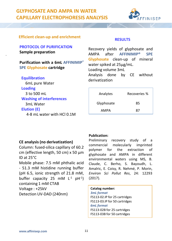## **GLYPHOSATE AND AMPA IN WATER CAPILLARY ELECTROPHORESIS ANALYSIS**



## **Efficient clean-up and enrichment RESULTS**

### **PROTOCOL OF PURIFICATION Sample preparation**

#### **Purification with a 6mL AFFINIMIP® SPE Glyphosate cartridge**

**Equilibration** 6mL pure Water **Loading** 3 to 500 mL **Washing of interferences** 3mL Water **Elution (E)** 4-8 mL water with HCl 0.1M

Recovery yields of glyphosate and AMPA after **AFFINIMIP® SPE Glyphosate** clean-up of mineral water spiked at 25µg/mL. Loading volume 3mL Analysis done by CE without derivatization

| Analytes   | Recoveries % |
|------------|--------------|
| Glyphosate | 85           |
| AMPA       | 87           |

#### **CE analysis (no derivatization)**

Column: fused-silica capillary of 60.2 cm (effective length, 50 cm) x 50 µm ID at 25°C

Mobile phase: 7.5 mM phthalic acid - 51.3 mM histidine running buffer (pH 6.5, ionic strength of 21.8 mM, buffer capacity 25 mM  $L^{-1}$  pH $^{-1}$ ) containing 1 mM CTAB Voltage : +25kV Detection UV-DAD (240nm)

#### **Publication:**

Preliminary recovery study of a commercial molecularly imprinted polymer for the extraction of glyphosate and AMPA in different environmental waters using MS, B. Claude, C. Berho, S. Bayoudh, L. Amalric, E. Coisy, R. Nehmé, P. Morin, *Environ Sci Pollut Res*, 24: 12293 (2017).

#### **Catalog number:**

*3mL format* FS113-02.IP for 25 cartridges FS113-03.IP for 50 cartridges *6mL format* FS113-02B for 25 cartridges FS113-03B for 50 cartridges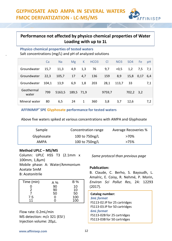## **Performance not affected by physico chemical properties of Water Loading with up to 1L**

#### **Physico chemical properties of tested waters** Salt concentrations (mg/L) and pH of analyzed solutions

|                     | Ca    | <b>Na</b> | Mg         | K   | HCO <sub>3</sub> | <sub>CI</sub> | NO <sub>3</sub> | <b>SO4</b> | Fe   | pH  |
|---------------------|-------|-----------|------------|-----|------------------|---------------|-----------------|------------|------|-----|
| Groundwater         | 15,7  | 11,3      | 4,9        | 1,3 | 76               | 9,7           | < 0.5           | 1,2        | 7,5  | 7,1 |
| Groundwater         | 22,3  | 105,7     | 17         | 4,7 | 136              | 159           | 8,9             | 15,8       | 0,17 | 6,4 |
| Groundwater         | 104,1 | 13,9      | 6,9        | 1,8 | 203              | 28,1          | 113,7           | 33         |      | 7,1 |
| Geothermal<br>water | 799   | 5163,5    | 189,5 71,9 |     |                  | 9759,7        |                 | 702,2      | 3,2  |     |
| Mineral water       | 80    | 6,5       | 24         | 1   | 360              | 3,8           | 3,7             | 12,6       |      | 7,2 |

**AFFINIMIP® SPE Glyphosate performance for tested waters**

Above five waters spiked at various concentrations with AMPA and Glyphosate

| Sample     | Concentration range | Average Recoveries % |
|------------|---------------------|----------------------|
| Glyphosate | 100 to 750ng/L      | >70%                 |
| AMPA       | 100 to 750ng/L      | >75%                 |

#### **Method UPLC – MS/MS**

Column: UPLC HSS T3 (2.1mm x 100mm, 1,8µm) Mobile phase: A: Water/Ammonium Acetate 5mM B: Acetonitrile

| Time (min) | A % | B % |
|------------|-----|-----|
|            | 90  | 10  |
| 2          | 90  | 10  |
|            | 50  | 50  |
| 7.5        |     | 100 |
| 11         |     | 100 |

Flow rate: 0.2mL/min MS detection: m/z 321 (ESI- ) Injection volume: 20µL.

*Same protocol than previous page*

FFINISEP

#### **Publication:**

B. Claude, C. Berho, S. Bayoudh, L. Amalric, E. Coisy, R. Nehmé, P. Morin, *Environ Sci Pollut Res*, 24: 12293 (2017).

**Catalog number:** *3mL format* FS113-02.IP for 25 cartridges FS113-03.IP for 50 cartridges *6mL format* FS113-02B for 25 cartridges FS113-03B for 50 cartridges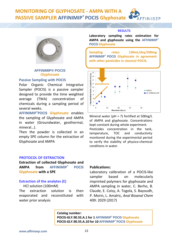#### **MONITORING OF GLYPHOSATE - AMPA WITH A PASSIVE SAMPLER AFFINIMIP® POCIS Glyphosate FFINISEP**



**AFFINIMIP® POCIS Glyphosate**

#### **Passive Sampling with POCIS**

Polar Organic Chemical Integrative Sampler (POCIS) is a passive sampler designed to provide the time weighted average (TWA) concentration of chemicals during a sampling period of several weeks.

**AFFINIMIP®POCIS Glyphosate** enables the sampling of Glyphosate and AMPA in water (Groundwater, geothermal, mineral…).

Then the powder is collected in an empty SPE column for the extraction of Glyphosate and AMPA

#### **PROTOCOL OF EXTRACTION**

**Extraction of collected Glyphosate and AMPA from AFFINIMIP® POCIS Glyphosate with a SPE**

#### **Extraction of the analytes (E)**

HCl solution (100mM) The extraction solution is then evaporated and reconstituted with water prior analysis

#### **RESULTS**

**Laboratory sampling rates estimation for AMPA and glyphosate using the AFFINIMIP® POCIS Glyphosate**

**Sampling rates: 130mL/day/200mg AFFINIMIP® POCIS Glyphosate in agreement with other pesticides in classical POCIS.**



Mineral water (pH = 7) fortified at 500ng/L of AMPA and glyphosate. Concentrations kept constant during whole experiment. Pesticides concentration in the tank, temperature, TOC and conductivity monitored during the experimental period to verify the stability of physico-chemical conditions in water.

#### **Publications:**

Laboratory calibration of a POCIS-like sampler based on molecularly imprinted polymers for glyphosate and AMPA sampling in water, C. Berho, B. Claude, E. Coisy, A. Togola, S. Bayoudh, P. Morin, L. Amalric*, Anal Bioanal Chem* 409: 2029 (2017)

**Catalog number: POCIS-GLY.90.55.A.1 for 1 AFFINIMIP® POCIS Glyphosate POCIS-GLY.90.55.A.10 for 10 AFFINIMIP® POCIS Glyphosate**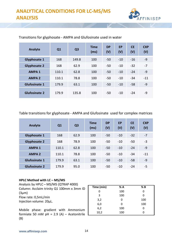

| Analyte              | Q1    | Q <sub>3</sub> | <b>Time</b><br>(ms) | <b>DP</b><br>(V) | EP<br>(V) | <b>CE</b><br>(V) | <b>CXP</b><br>(V) |
|----------------------|-------|----------------|---------------------|------------------|-----------|------------------|-------------------|
| Glyphosate 1         | 168   | 149.8          | 100                 | $-50$            | $-10$     | $-16$            | -9                |
| <b>Glyphosate 2</b>  | 168   | 62.9           | 100                 | $-50$            | $-10$     | $-32$            | $-7$              |
| <b>AMPA1</b>         | 110.1 | 62.8           | 100                 | $-50$            | $-10$     | $-24$            | $-9$              |
| <b>AMPA 2</b>        | 110.1 | 78.8           | 100                 | $-50$            | $-10$     | $-34$            | $-11$             |
| Glufosinate 1        | 179.9 | 63.1           | 100                 | $-50$            | $-10$     | $-58$            | $-9$              |
| <b>Glufosinate 2</b> | 179.9 | 135.8          | 100                 | $-50$            | $-10$     | $-24$            | -9                |

#### Transitions for glyphosate - AMPA and Glufosinate used in water

Table transitions for glyphosate - AMPA and Glufosinate used for complex matrices

| Analyte              | Q <sub>1</sub> | Q <sub>3</sub> | <b>Time</b><br>(ms) | <b>DP</b><br>(V) | <b>EP</b><br>(V) | <b>CE</b><br>(V) | <b>CXP</b><br>(V) |
|----------------------|----------------|----------------|---------------------|------------------|------------------|------------------|-------------------|
| Glyphosate 1         | 168            | 62.9           | 100                 | $-50$            | $-10$            | $-32$            | $-7$              |
| <b>Glyphosate 2</b>  | 168            | 78.9           | 100                 | $-50$            | $-10$            | $-50$            | $-3$              |
| <b>AMPA1</b>         | 110.1          | 62.8           | 100                 | $-50$            | $-10$            | $-24$            | $-9$              |
| <b>AMPA 2</b>        | 110.1          | 78.8           | 100                 | $-50$            | $-10$            | $-34$            | $-11$             |
| <b>Glufosinate 1</b> | 179.9          | 63.1           | 100                 | $-50$            | $-10$            | $-58$            | $-9$              |
| <b>Glufosinate 2</b> | 179.9          | 95.0           | 100                 | $-50$            | $-10$            | $-24$            | -5                |

#### **HPLC Method with LC – MS/MS**

Analysis by HPLC – MS/MS (QTRAP 4000) Column: Acclaim trinity Q1 100mm x 3mm ID  $(3µm)$ Flow rate: 0,5mL/min Injection volume: 20µL.

Mobile phase: gradient with Ammonium formiate 50 mM pH = 2.9 (A) – Acetonitrile  $\blacksquare$ (B)

| Time (min) | % A | % B |
|------------|-----|-----|
|            | 100 | 0   |
| 3          | 100 | ი   |
| 3,2        | 0   | 100 |
| 6,0        | 0   | 100 |
| 6,2        | 100 | 0   |
| 10,2       | 100 |     |
|            |     |     |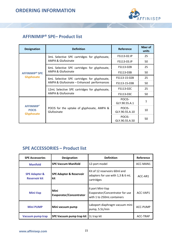

## **AFFINIMIP® SPE– Product list**

| <b>Designation</b>                                     | <b>Definition</b>                                         | Reference                | Nber of<br>units |
|--------------------------------------------------------|-----------------------------------------------------------|--------------------------|------------------|
|                                                        | 3mL Selective SPE cartridges for glyphosate,              | FS113-02.IP              | 25               |
|                                                        | AMPA & Glufosinate                                        | FS113-03.IP              | 50               |
|                                                        | 6mL Selective SPE cartridges for glyphosate,              | FS113-02B                | 25               |
| <b>AFFINIMIP<sup>®</sup> SPE</b><br><b>Glyphosate</b>  | AMPA & Glufosinate                                        | FS113-03B                | 50               |
|                                                        | 6mL Selective SPE cartridges for glyphosate,              | FS113-15-02B             | 25               |
|                                                        | AMPA & Glufosinate - Enhanced performances                | FS113-15-03B             | 50               |
|                                                        | 12mL Selective SPE cartridges for glyphosate,             | FS113-02C                | 25               |
|                                                        | <b>AMPA &amp; Glufosinate</b>                             | FS113-03C                | 50               |
|                                                        |                                                           | POCIS-<br>GLY.90.55.A.1  | 1                |
| <b>AFFINIMIP®</b><br><b>POCIS</b><br><b>Glyphosate</b> | POCIS for the uptake of glyphosate, AMPA &<br>Glufosinate | POCIS-<br>GLY.90.55.A.10 | 10               |
|                                                        |                                                           | POCIS-<br>GLY.90.55.A.50 | 50               |

## **SPE ACCESSORIES – Product list**

| <b>SPE Accessories</b>                           | Designation                               | <b>Definition</b>                                                                | Reference |
|--------------------------------------------------|-------------------------------------------|----------------------------------------------------------------------------------|-----------|
| <b>Manifold</b>                                  | <b>SPE Vaccum Manifold</b>                | 12-port model                                                                    | ACC-MAN1  |
| <b>SPE Adapter &amp;</b><br><b>Reservoir kit</b> | <b>SPE Adapter &amp; Reservoir</b><br>kit | Kit of 12 reservoirs 60ml and<br>adapters for use with 1,3 & 6 mL<br>cartridges  | ACC-AR1   |
| Mini-Vap                                         | Mini<br>Evaporator/Concentrator           | 6 port Mini-Vap<br>Evaporator/Concentrator for use<br>with 1 to 250mL containers | ACC-VAP1  |
| <b>Mini PUMP</b>                                 | Mini vacuum pump                          | Laboport diaphragm vacuum mini<br>pump, 5.5L/min                                 | ACC-PUMP  |
| Vacuum pump trap                                 | SPE Vacuum pump trap kit                  | 1L trap kit                                                                      | ACC-TRAP  |